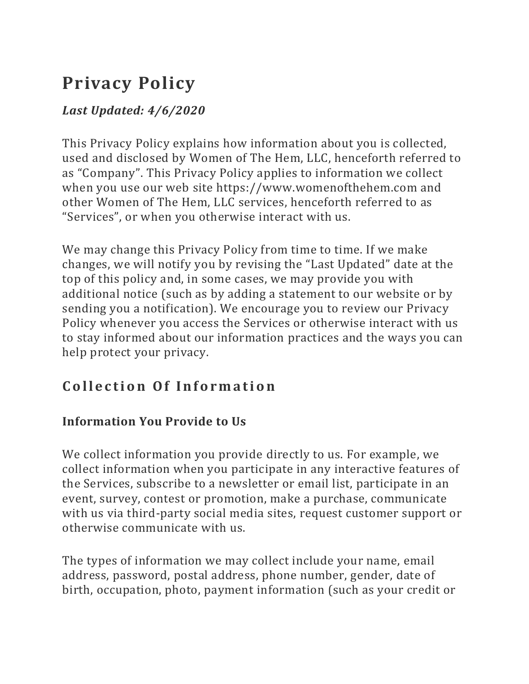# **Privacy Policy**

### *Last Updated: 4/6/2020*

This Privacy Policy explains how information about you is collected, used and disclosed by Women of The Hem, LLC, henceforth referred to as "Company". This Privacy Policy applies to information we collect when you use our web site https://www.womenofthehem.com and other Women of The Hem, LLC services, henceforth referred to as "Services", or when you otherwise interact with us.

We may change this Privacy Policy from time to time. If we make changes, we will notify you by revising the "Last Updated" date at the top of this policy and, in some cases, we may provide you with additional notice (such as by adding a statement to our website or by sending you a notification). We encourage you to review our Privacy Policy whenever you access the Services or otherwise interact with us to stay informed about our information practices and the ways you can help protect your privacy.

# **Collection Of Information**

### **Information You Provide to Us**

We collect information you provide directly to us. For example, we collect information when you participate in any interactive features of the Services, subscribe to a newsletter or email list, participate in an event, survey, contest or promotion, make a purchase, communicate with us via third-party social media sites, request customer support or otherwise communicate with us.

The types of information we may collect include your name, email address, password, postal address, phone number, gender, date of birth, occupation, photo, payment information (such as your credit or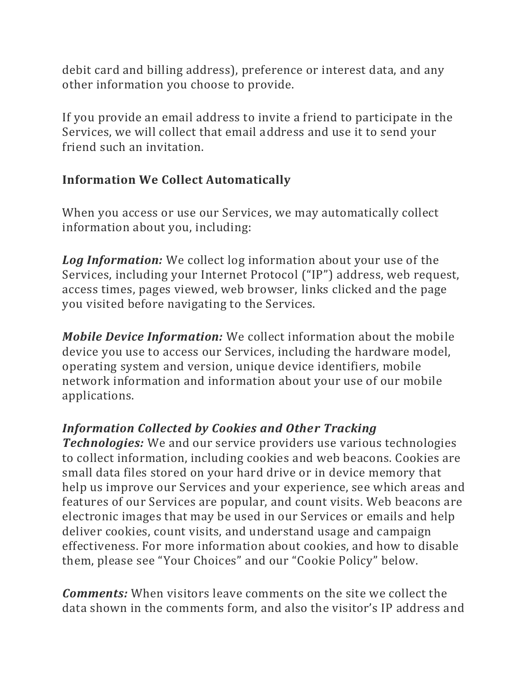debit card and billing address), preference or interest data, and any other information you choose to provide.

If you provide an email address to invite a friend to participate in the Services, we will collect that email address and use it to send your friend such an invitation.

#### **Information We Collect Automatically**

When you access or use our Services, we may automatically collect information about you, including:

*Log Information:* We collect log information about your use of the Services, including your Internet Protocol ("IP") address, web request, access times, pages viewed, web browser, links clicked and the page you visited before navigating to the Services.

*Mobile Device Information:* We collect information about the mobile device you use to access our Services, including the hardware model, operating system and version, unique device identifiers, mobile network information and information about your use of our mobile applications.

#### *Information Collected by Cookies and Other Tracking*

*Technologies:* We and our service providers use various technologies to collect information, including cookies and web beacons. Cookies are small data files stored on your hard drive or in device memory that help us improve our Services and your experience, see which areas and features of our Services are popular, and count visits. Web beacons are electronic images that may be used in our Services or emails and help deliver cookies, count visits, and understand usage and campaign effectiveness. For more information about cookies, and how to disable them, please see "Your Choices" and our "Cookie Policy" below.

*Comments:* When visitors leave comments on the site we collect the data shown in the comments form, and also the visitor's IP address and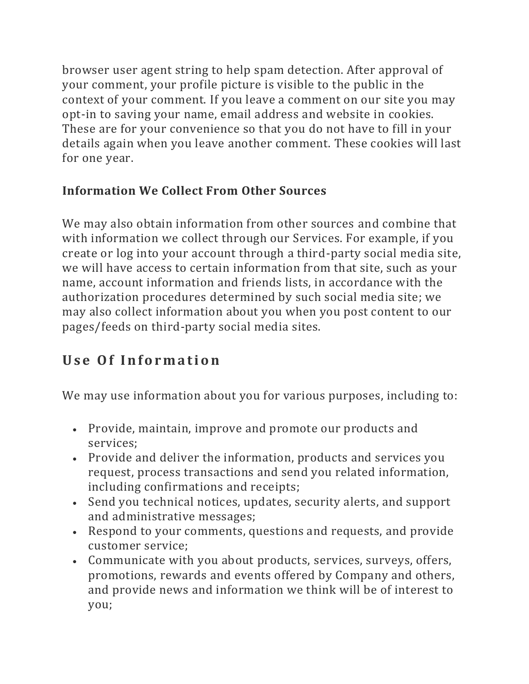browser user agent string to help spam detection. After approval of your comment, your profile picture is visible to the public in the context of your comment. If you leave a comment on our site you may opt-in to saving your name, email address and website in cookies. These are for your convenience so that you do not have to fill in your details again when you leave another comment. These cookies will last for one year.

### **Information We Collect From Other Sources**

We may also obtain information from other sources and combine that with information we collect through our Services. For example, if you create or log into your account through a third-party social media site, we will have access to certain information from that site, such as your name, account information and friends lists, in accordance with the authorization procedures determined by such social media site; we may also collect information about you when you post content to our pages/feeds on third-party social media sites.

# **Use Of Information**

We may use information about you for various purposes, including to:

- Provide, maintain, improve and promote our products and services;
- Provide and deliver the information, products and services you request, process transactions and send you related information, including confirmations and receipts;
- Send you technical notices, updates, security alerts, and support and administrative messages;
- Respond to your comments, questions and requests, and provide customer service;
- Communicate with you about products, services, surveys, offers, promotions, rewards and events offered by Company and others, and provide news and information we think will be of interest to you;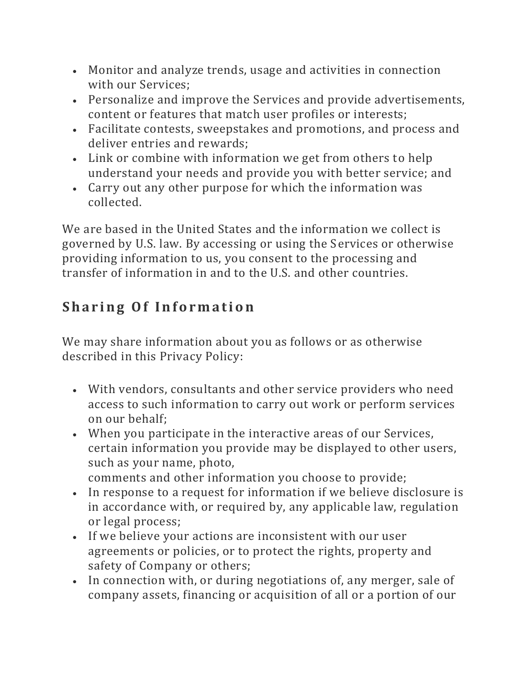- Monitor and analyze trends, usage and activities in connection with our Services;
- Personalize and improve the Services and provide advertisements, content or features that match user profiles or interests;
- Facilitate contests, sweepstakes and promotions, and process and deliver entries and rewards;
- Link or combine with information we get from others to help understand your needs and provide you with better service; and
- Carry out any other purpose for which the information was collected.

We are based in the United States and the information we collect is governed by U.S. law. By accessing or using the Services or otherwise providing information to us, you consent to the processing and transfer of information in and to the U.S. and other countries.

# **Sharing Of Information**

We may share information about you as follows or as otherwise described in this Privacy Policy:

- With vendors, consultants and other service providers who need access to such information to carry out work or perform services on our behalf;
- When you participate in the interactive areas of our Services, certain information you provide may be displayed to other users, such as your name, photo, comments and other information you choose to provide;
- In response to a request for information if we believe disclosure is in accordance with, or required by, any applicable law, regulation or legal process;
- If we believe your actions are inconsistent with our user agreements or policies, or to protect the rights, property and safety of Company or others;
- In connection with, or during negotiations of, any merger, sale of company assets, financing or acquisition of all or a portion of our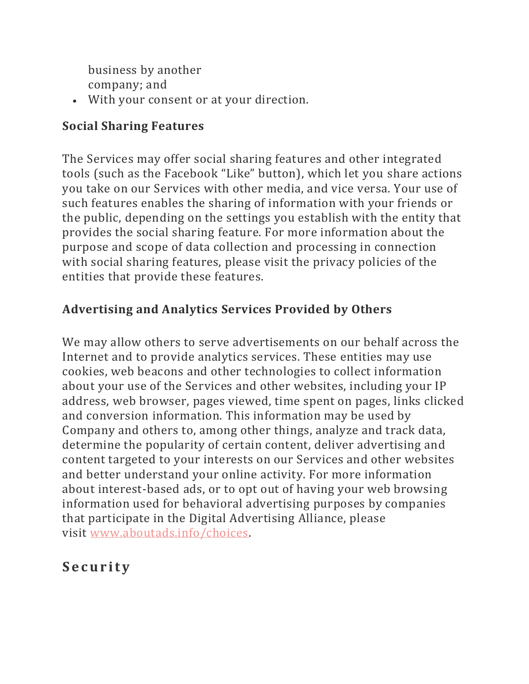business by another company; and

• With your consent or at your direction.

#### **Social Sharing Features**

The Services may offer social sharing features and other integrated tools (such as the Facebook "Like" button), which let you share actions you take on our Services with other media, and vice versa. Your use of such features enables the sharing of information with your friends or the public, depending on the settings you establish with the entity that provides the social sharing feature. For more information about the purpose and scope of data collection and processing in connection with social sharing features, please visit the privacy policies of the entities that provide these features.

### **Advertising and Analytics Services Provided by Others**

We may allow others to serve advertisements on our behalf across the Internet and to provide analytics services. These entities may use cookies, web beacons and other technologies to collect information about your use of the Services and other websites, including your IP address, web browser, pages viewed, time spent on pages, links clicked and conversion information. This information may be used by Company and others to, among other things, analyze and track data, determine the popularity of certain content, deliver advertising and content targeted to your interests on our Services and other websites and better understand your online activity. For more information about interest-based ads, or to opt out of having your web browsing information used for behavioral advertising purposes by companies that participate in the Digital Advertising Alliance, please visit [www.aboutads.info/choices.](https://www.aboutads.info/choices)

# **S e c u r i t y**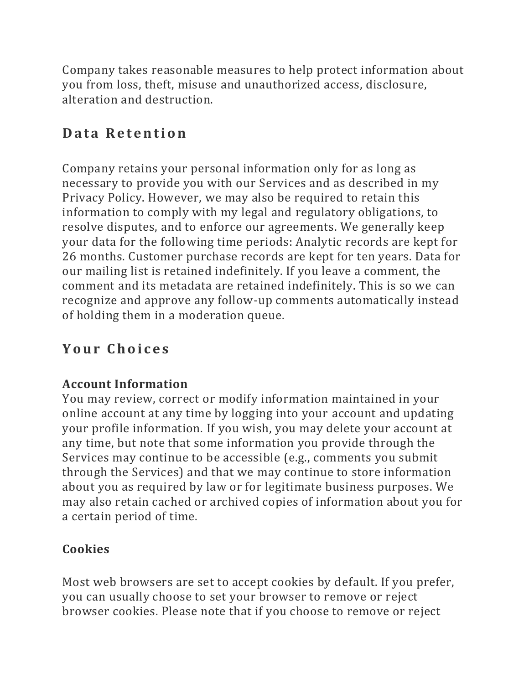Company takes reasonable measures to help protect information about you from loss, theft, misuse and unauthorized access, disclosure, alteration and destruction.

### **Data Retention**

Company retains your personal information only for as long as necessary to provide you with our Services and as described in my Privacy Policy. However, we may also be required to retain this information to comply with my legal and regulatory obligations, to resolve disputes, and to enforce our agreements. We generally keep your data for the following time periods: Analytic records are kept for 26 months. Customer purchase records are kept for ten years. Data for our mailing list is retained indefinitely. If you leave a comment, the comment and its metadata are retained indefinitely. This is so we can recognize and approve any follow-up comments automatically instead of holding them in a moderation queue.

# **Your Choices**

### **Account Information**

You may review, correct or modify information maintained in your online account at any time by logging into your account and updating your profile information. If you wish, you may delete your account at any time, but note that some information you provide through the Services may continue to be accessible (e.g., comments you submit through the Services) and that we may continue to store information about you as required by law or for legitimate business purposes. We may also retain cached or archived copies of information about you for a certain period of time.

### **Cookies**

Most web browsers are set to accept cookies by default. If you prefer, you can usually choose to set your browser to remove or reject browser cookies. Please note that if you choose to remove or reject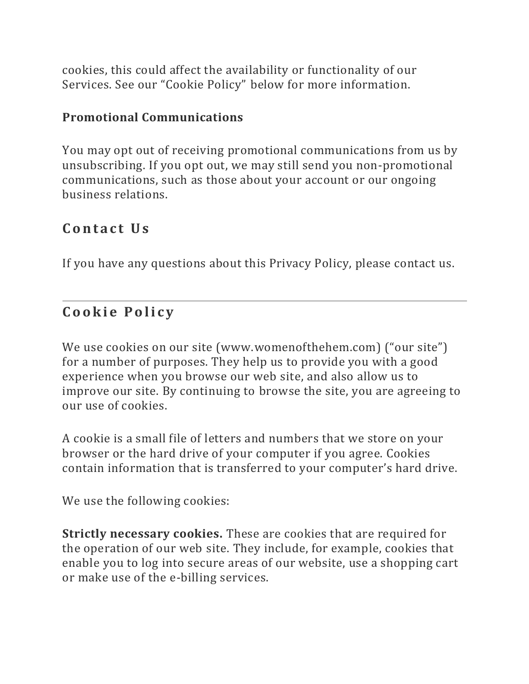cookies, this could affect the availability or functionality of our Services. See our "Cookie Policy" below for more information.

#### **Promotional Communications**

You may opt out of receiving promotional communications from us by unsubscribing. If you opt out, we may still send you non-promotional communications, such as those about your account or our ongoing business relations.

### Contact Us

If you have any questions about this Privacy Policy, please contact us.

### **C o o k i e P o l i c y**

We use cookies on our site (www.womenofthehem.com) ("our site") for a number of purposes. They help us to provide you with a good experience when you browse our web site, and also allow us to improve our site. By continuing to browse the site, you are agreeing to our use of cookies.

A cookie is a small file of letters and numbers that we store on your browser or the hard drive of your computer if you agree. Cookies contain information that is transferred to your computer's hard drive.

We use the following cookies:

**Strictly necessary cookies.** These are cookies that are required for the operation of our web site. They include, for example, cookies that enable you to log into secure areas of our website, use a shopping cart or make use of the e-billing services.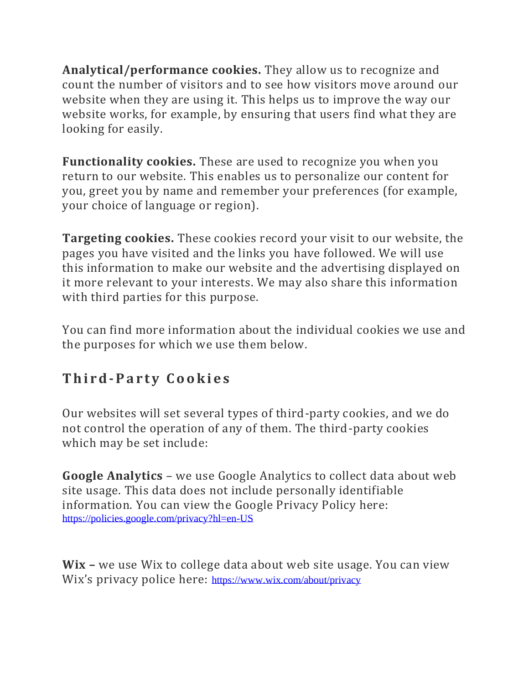**Analytical/performance cookies.** They allow us to recognize and count the number of visitors and to see how visitors move around our website when they are using it. This helps us to improve the way our website works, for example, by ensuring that users find what they are looking for easily.

**Functionality cookies.** These are used to recognize you when you return to our website. This enables us to personalize our content for you, greet you by name and remember your preferences (for example, your choice of language or region).

**Targeting cookies.** These cookies record your visit to our website, the pages you have visited and the links you have followed. We will use this information to make our website and the advertising displayed on it more relevant to your interests. We may also share this information with third parties for this purpose.

You can find more information about the individual cookies we use and the purposes for which we use them below.

# **Third-Party Cookies**

Our websites will set several types of third-party cookies, and we do not control the operation of any of them. The third-party cookies which may be set include:

**Google Analytics** – we use Google Analytics to collect data about web site usage. This data does not include personally identifiable information. You can view the Google Privacy Policy here: <https://policies.google.com/privacy?hl=en-US>

**Wix –** we use Wix to college data about web site usage. You can view Wix's privacy police here: <https://www.wix.com/about/privacy>